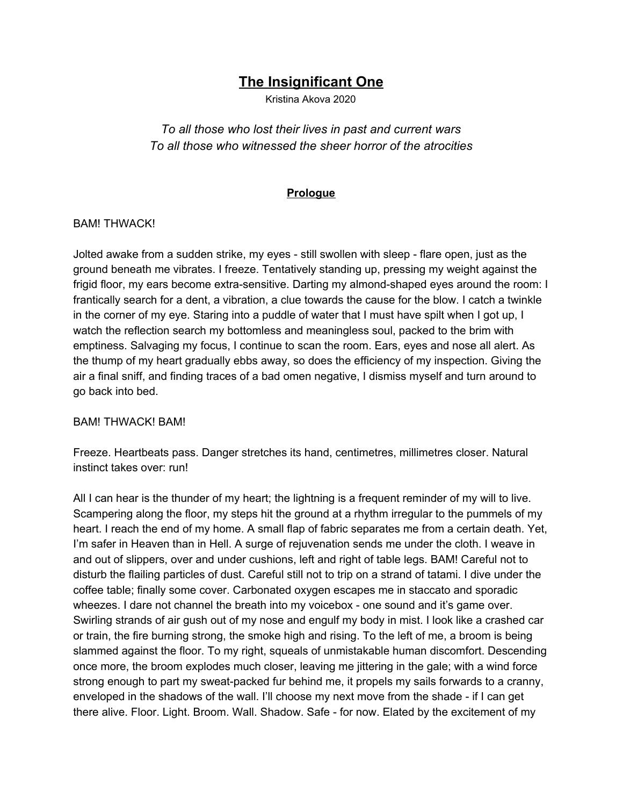# **The Insignificant One**

Kristina Akova 2020

*To all those who lost their lives in past and current wars To all those who witnessed the sheer horror of the atrocities*

#### **Prologue**

#### BAM! THWACK!

Jolted awake from a sudden strike, my eyes - still swollen with sleep - flare open, just as the ground beneath me vibrates. I freeze. Tentatively standing up, pressing my weight against the frigid floor, my ears become extra-sensitive. Darting my almond-shaped eyes around the room: I frantically search for a dent, a vibration, a clue towards the cause for the blow. I catch a twinkle in the corner of my eye. Staring into a puddle of water that I must have spilt when I got up, I watch the reflection search my bottomless and meaningless soul, packed to the brim with emptiness. Salvaging my focus, I continue to scan the room. Ears, eyes and nose all alert. As the thump of my heart gradually ebbs away, so does the efficiency of my inspection. Giving the air a final sniff, and finding traces of a bad omen negative, I dismiss myself and turn around to go back into bed.

#### BAM! THWACK! BAM!

Freeze. Heartbeats pass. Danger stretches its hand, centimetres, millimetres closer. Natural instinct takes over: run!

All I can hear is the thunder of my heart; the lightning is a frequent reminder of my will to live. Scampering along the floor, my steps hit the ground at a rhythm irregular to the pummels of my heart. I reach the end of my home. A small flap of fabric separates me from a certain death. Yet, I'm safer in Heaven than in Hell. A surge of rejuvenation sends me under the cloth. I weave in and out of slippers, over and under cushions, left and right of table legs. BAM! Careful not to disturb the flailing particles of dust. Careful still not to trip on a strand of tatami. I dive under the coffee table; finally some cover. Carbonated oxygen escapes me in staccato and sporadic wheezes. I dare not channel the breath into my voicebox - one sound and it's game over. Swirling strands of air gush out of my nose and engulf my body in mist. I look like a crashed car or train, the fire burning strong, the smoke high and rising. To the left of me, a broom is being slammed against the floor. To my right, squeals of unmistakable human discomfort. Descending once more, the broom explodes much closer, leaving me jittering in the gale; with a wind force strong enough to part my sweat-packed fur behind me, it propels my sails forwards to a cranny, enveloped in the shadows of the wall. I'll choose my next move from the shade - if I can get there alive. Floor. Light. Broom. Wall. Shadow. Safe - for now. Elated by the excitement of my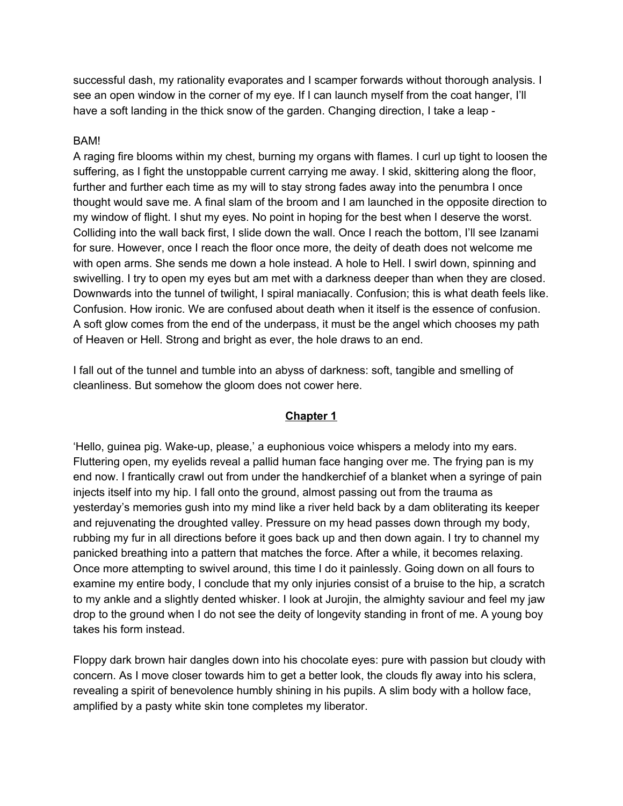successful dash, my rationality evaporates and I scamper forwards without thorough analysis. I see an open window in the corner of my eye. If I can launch myself from the coat hanger, I'll have a soft landing in the thick snow of the garden. Changing direction, I take a leap -

#### BAM!

A raging fire blooms within my chest, burning my organs with flames. I curl up tight to loosen the suffering, as I fight the unstoppable current carrying me away. I skid, skittering along the floor, further and further each time as my will to stay strong fades away into the penumbra I once thought would save me. A final slam of the broom and I am launched in the opposite direction to my window of flight. I shut my eyes. No point in hoping for the best when I deserve the worst. Colliding into the wall back first, I slide down the wall. Once I reach the bottom, I'll see Izanami for sure. However, once I reach the floor once more, the deity of death does not welcome me with open arms. She sends me down a hole instead. A hole to Hell. I swirl down, spinning and swivelling. I try to open my eyes but am met with a darkness deeper than when they are closed. Downwards into the tunnel of twilight, I spiral maniacally. Confusion; this is what death feels like. Confusion. How ironic. We are confused about death when it itself is the essence of confusion. A soft glow comes from the end of the underpass, it must be the angel which chooses my path of Heaven or Hell. Strong and bright as ever, the hole draws to an end.

I fall out of the tunnel and tumble into an abyss of darkness: soft, tangible and smelling of cleanliness. But somehow the gloom does not cower here.

#### **Chapter 1**

'Hello, guinea pig. Wake-up, please,' a euphonious voice whispers a melody into my ears. Fluttering open, my eyelids reveal a pallid human face hanging over me. The frying pan is my end now. I frantically crawl out from under the handkerchief of a blanket when a syringe of pain injects itself into my hip. I fall onto the ground, almost passing out from the trauma as yesterday's memories gush into my mind like a river held back by a dam obliterating its keeper and rejuvenating the droughted valley. Pressure on my head passes down through my body, rubbing my fur in all directions before it goes back up and then down again. I try to channel my panicked breathing into a pattern that matches the force. After a while, it becomes relaxing. Once more attempting to swivel around, this time I do it painlessly. Going down on all fours to examine my entire body, I conclude that my only injuries consist of a bruise to the hip, a scratch to my ankle and a slightly dented whisker. I look at Jurojin, the almighty saviour and feel my jaw drop to the ground when I do not see the deity of longevity standing in front of me. A young boy takes his form instead.

Floppy dark brown hair dangles down into his chocolate eyes: pure with passion but cloudy with concern. As I move closer towards him to get a better look, the clouds fly away into his sclera, revealing a spirit of benevolence humbly shining in his pupils. A slim body with a hollow face, amplified by a pasty white skin tone completes my liberator.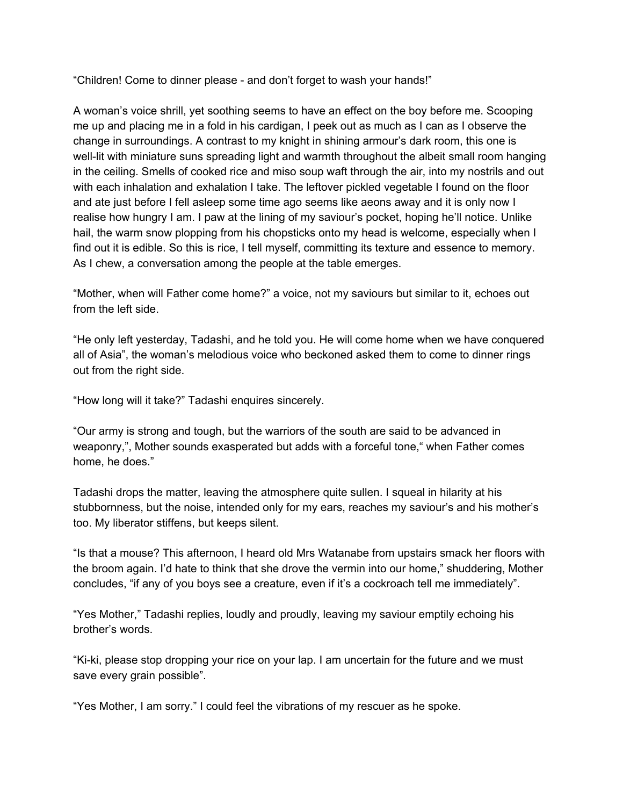"Children! Come to dinner please - and don't forget to wash your hands!"

A woman's voice shrill, yet soothing seems to have an effect on the boy before me. Scooping me up and placing me in a fold in his cardigan, I peek out as much as I can as I observe the change in surroundings. A contrast to my knight in shining armour's dark room, this one is well-lit with miniature suns spreading light and warmth throughout the albeit small room hanging in the ceiling. Smells of cooked rice and miso soup waft through the air, into my nostrils and out with each inhalation and exhalation I take. The leftover pickled vegetable I found on the floor and ate just before I fell asleep some time ago seems like aeons away and it is only now I realise how hungry I am. I paw at the lining of my saviour's pocket, hoping he'll notice. Unlike hail, the warm snow plopping from his chopsticks onto my head is welcome, especially when I find out it is edible. So this is rice, I tell myself, committing its texture and essence to memory. As I chew, a conversation among the people at the table emerges.

"Mother, when will Father come home?" a voice, not my saviours but similar to it, echoes out from the left side.

"He only left yesterday, Tadashi, and he told you. He will come home when we have conquered all of Asia", the woman's melodious voice who beckoned asked them to come to dinner rings out from the right side.

"How long will it take?" Tadashi enquires sincerely.

"Our army is strong and tough, but the warriors of the south are said to be advanced in weaponry,", Mother sounds exasperated but adds with a forceful tone," when Father comes home, he does."

Tadashi drops the matter, leaving the atmosphere quite sullen. I squeal in hilarity at his stubbornness, but the noise, intended only for my ears, reaches my saviour's and his mother's too. My liberator stiffens, but keeps silent.

"Is that a mouse? This afternoon, I heard old Mrs Watanabe from upstairs smack her floors with the broom again. I'd hate to think that she drove the vermin into our home," shuddering, Mother concludes, "if any of you boys see a creature, even if it's a cockroach tell me immediately".

"Yes Mother," Tadashi replies, loudly and proudly, leaving my saviour emptily echoing his brother's words.

"Ki-ki, please stop dropping your rice on your lap. I am uncertain for the future and we must save every grain possible".

"Yes Mother, I am sorry." I could feel the vibrations of my rescuer as he spoke.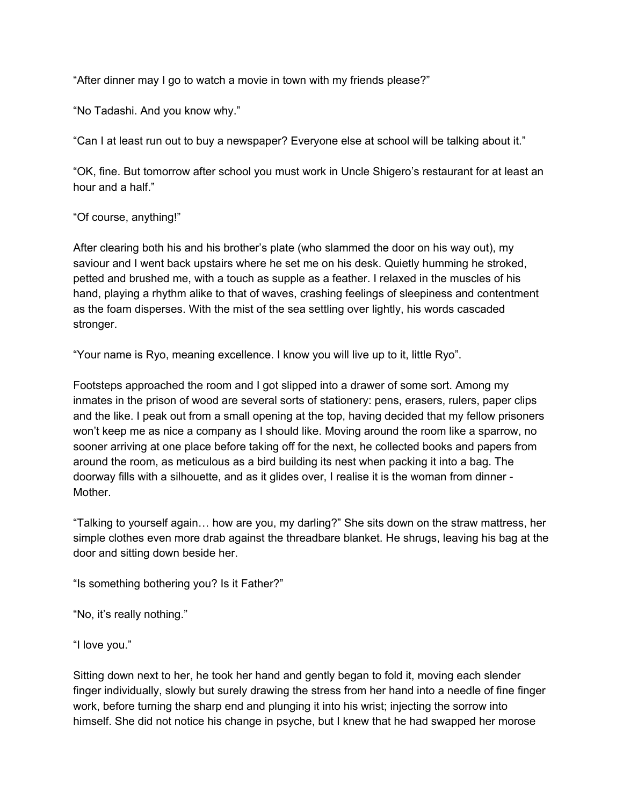"After dinner may I go to watch a movie in town with my friends please?"

"No Tadashi. And you know why."

"Can I at least run out to buy a newspaper? Everyone else at school will be talking about it."

"OK, fine. But tomorrow after school you must work in Uncle Shigero's restaurant for at least an hour and a half."

"Of course, anything!"

After clearing both his and his brother's plate (who slammed the door on his way out), my saviour and I went back upstairs where he set me on his desk. Quietly humming he stroked, petted and brushed me, with a touch as supple as a feather. I relaxed in the muscles of his hand, playing a rhythm alike to that of waves, crashing feelings of sleepiness and contentment as the foam disperses. With the mist of the sea settling over lightly, his words cascaded stronger.

"Your name is Ryo, meaning excellence. I know you will live up to it, little Ryo".

Footsteps approached the room and I got slipped into a drawer of some sort. Among my inmates in the prison of wood are several sorts of stationery: pens, erasers, rulers, paper clips and the like. I peak out from a small opening at the top, having decided that my fellow prisoners won't keep me as nice a company as I should like. Moving around the room like a sparrow, no sooner arriving at one place before taking off for the next, he collected books and papers from around the room, as meticulous as a bird building its nest when packing it into a bag. The doorway fills with a silhouette, and as it glides over, I realise it is the woman from dinner - Mother.

"Talking to yourself again… how are you, my darling?" She sits down on the straw mattress, her simple clothes even more drab against the threadbare blanket. He shrugs, leaving his bag at the door and sitting down beside her.

"Is something bothering you? Is it Father?"

"No, it's really nothing."

"I love you."

Sitting down next to her, he took her hand and gently began to fold it, moving each slender finger individually, slowly but surely drawing the stress from her hand into a needle of fine finger work, before turning the sharp end and plunging it into his wrist; injecting the sorrow into himself. She did not notice his change in psyche, but I knew that he had swapped her morose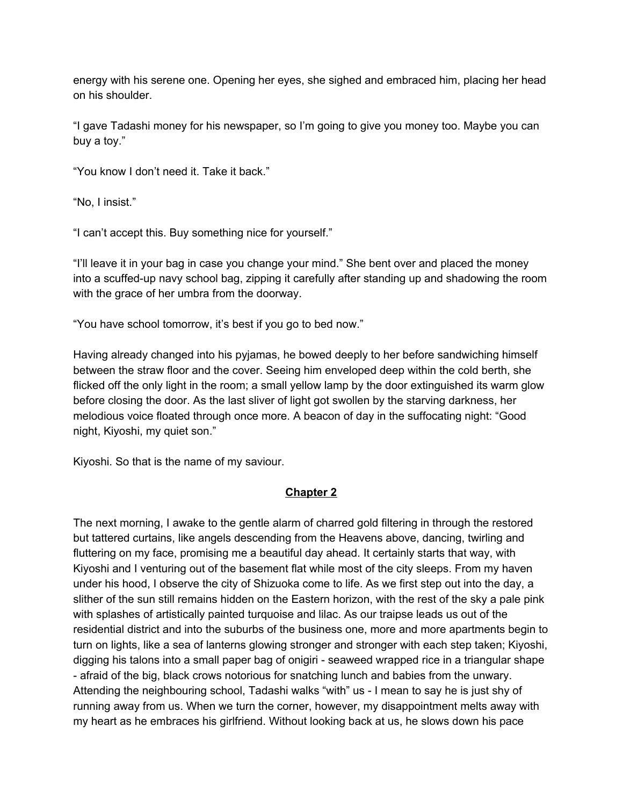energy with his serene one. Opening her eyes, she sighed and embraced him, placing her head on his shoulder.

"I gave Tadashi money for his newspaper, so I'm going to give you money too. Maybe you can buy a toy."

"You know I don't need it. Take it back."

"No, I insist."

"I can't accept this. Buy something nice for yourself."

"I'll leave it in your bag in case you change your mind." She bent over and placed the money into a scuffed-up navy school bag, zipping it carefully after standing up and shadowing the room with the grace of her umbra from the doorway.

"You have school tomorrow, it's best if you go to bed now."

Having already changed into his pyjamas, he bowed deeply to her before sandwiching himself between the straw floor and the cover. Seeing him enveloped deep within the cold berth, she flicked off the only light in the room; a small yellow lamp by the door extinguished its warm glow before closing the door. As the last sliver of light got swollen by the starving darkness, her melodious voice floated through once more. A beacon of day in the suffocating night: "Good night, Kiyoshi, my quiet son."

Kiyoshi. So that is the name of my saviour.

## **Chapter 2**

The next morning, I awake to the gentle alarm of charred gold filtering in through the restored but tattered curtains, like angels descending from the Heavens above, dancing, twirling and fluttering on my face, promising me a beautiful day ahead. It certainly starts that way, with Kiyoshi and I venturing out of the basement flat while most of the city sleeps. From my haven under his hood, I observe the city of Shizuoka come to life. As we first step out into the day, a slither of the sun still remains hidden on the Eastern horizon, with the rest of the sky a pale pink with splashes of artistically painted turquoise and lilac. As our traipse leads us out of the residential district and into the suburbs of the business one, more and more apartments begin to turn on lights, like a sea of lanterns glowing stronger and stronger with each step taken; Kiyoshi, digging his talons into a small paper bag of onigiri - seaweed wrapped rice in a triangular shape - afraid of the big, black crows notorious for snatching lunch and babies from the unwary. Attending the neighbouring school, Tadashi walks "with" us - I mean to say he is just shy of running away from us. When we turn the corner, however, my disappointment melts away with my heart as he embraces his girlfriend. Without looking back at us, he slows down his pace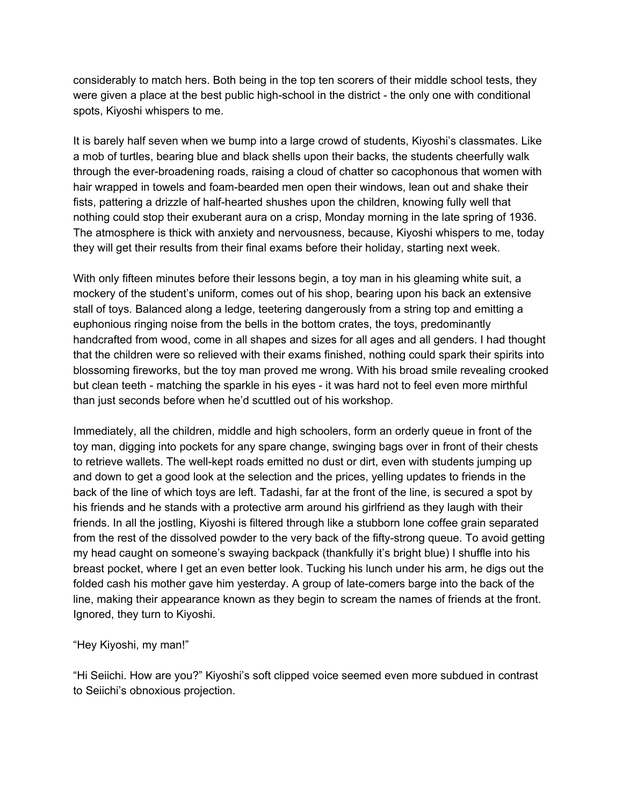considerably to match hers. Both being in the top ten scorers of their middle school tests, they were given a place at the best public high-school in the district - the only one with conditional spots, Kiyoshi whispers to me.

It is barely half seven when we bump into a large crowd of students, Kiyoshi's classmates. Like a mob of turtles, bearing blue and black shells upon their backs, the students cheerfully walk through the ever-broadening roads, raising a cloud of chatter so cacophonous that women with hair wrapped in towels and foam-bearded men open their windows, lean out and shake their fists, pattering a drizzle of half-hearted shushes upon the children, knowing fully well that nothing could stop their exuberant aura on a crisp, Monday morning in the late spring of 1936. The atmosphere is thick with anxiety and nervousness, because, Kiyoshi whispers to me, today they will get their results from their final exams before their holiday, starting next week.

With only fifteen minutes before their lessons begin, a toy man in his gleaming white suit, a mockery of the student's uniform, comes out of his shop, bearing upon his back an extensive stall of toys. Balanced along a ledge, teetering dangerously from a string top and emitting a euphonious ringing noise from the bells in the bottom crates, the toys, predominantly handcrafted from wood, come in all shapes and sizes for all ages and all genders. I had thought that the children were so relieved with their exams finished, nothing could spark their spirits into blossoming fireworks, but the toy man proved me wrong. With his broad smile revealing crooked but clean teeth - matching the sparkle in his eyes - it was hard not to feel even more mirthful than just seconds before when he'd scuttled out of his workshop.

Immediately, all the children, middle and high schoolers, form an orderly queue in front of the toy man, digging into pockets for any spare change, swinging bags over in front of their chests to retrieve wallets. The well-kept roads emitted no dust or dirt, even with students jumping up and down to get a good look at the selection and the prices, yelling updates to friends in the back of the line of which toys are left. Tadashi, far at the front of the line, is secured a spot by his friends and he stands with a protective arm around his girlfriend as they laugh with their friends. In all the jostling, Kiyoshi is filtered through like a stubborn lone coffee grain separated from the rest of the dissolved powder to the very back of the fifty-strong queue. To avoid getting my head caught on someone's swaying backpack (thankfully it's bright blue) I shuffle into his breast pocket, where I get an even better look. Tucking his lunch under his arm, he digs out the folded cash his mother gave him yesterday. A group of late-comers barge into the back of the line, making their appearance known as they begin to scream the names of friends at the front. Ignored, they turn to Kiyoshi.

"Hey Kiyoshi, my man!"

"Hi Seiichi. How are you?" Kiyoshi's soft clipped voice seemed even more subdued in contrast to Seiichi's obnoxious projection.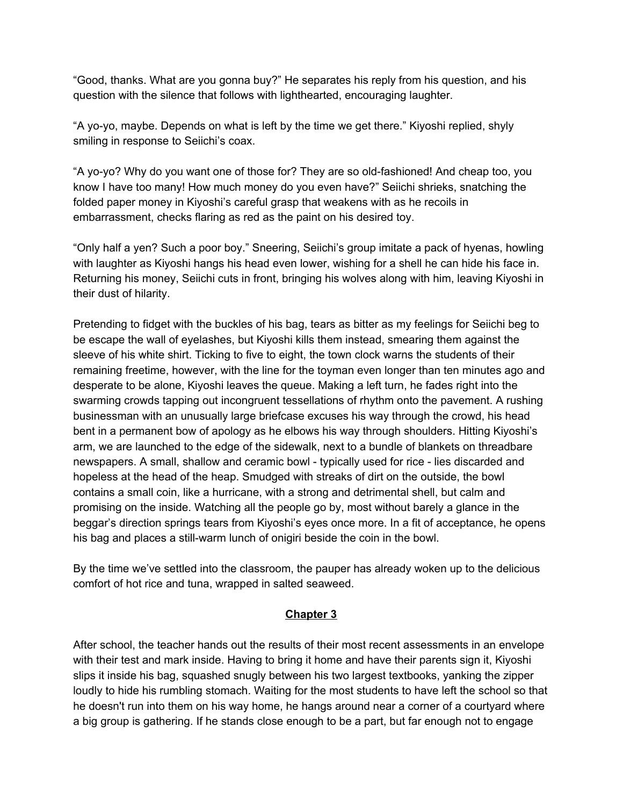"Good, thanks. What are you gonna buy?" He separates his reply from his question, and his question with the silence that follows with lighthearted, encouraging laughter.

"A yo-yo, maybe. Depends on what is left by the time we get there." Kiyoshi replied, shyly smiling in response to Seiichi's coax.

"A yo-yo? Why do you want one of those for? They are so old-fashioned! And cheap too, you know I have too many! How much money do you even have?" Seiichi shrieks, snatching the folded paper money in Kiyoshi's careful grasp that weakens with as he recoils in embarrassment, checks flaring as red as the paint on his desired toy.

"Only half a yen? Such a poor boy." Sneering, Seiichi's group imitate a pack of hyenas, howling with laughter as Kiyoshi hangs his head even lower, wishing for a shell he can hide his face in. Returning his money, Seiichi cuts in front, bringing his wolves along with him, leaving Kiyoshi in their dust of hilarity.

Pretending to fidget with the buckles of his bag, tears as bitter as my feelings for Seiichi beg to be escape the wall of eyelashes, but Kiyoshi kills them instead, smearing them against the sleeve of his white shirt. Ticking to five to eight, the town clock warns the students of their remaining freetime, however, with the line for the toyman even longer than ten minutes ago and desperate to be alone, Kiyoshi leaves the queue. Making a left turn, he fades right into the swarming crowds tapping out incongruent tessellations of rhythm onto the pavement. A rushing businessman with an unusually large briefcase excuses his way through the crowd, his head bent in a permanent bow of apology as he elbows his way through shoulders. Hitting Kiyoshi's arm, we are launched to the edge of the sidewalk, next to a bundle of blankets on threadbare newspapers. A small, shallow and ceramic bowl - typically used for rice - lies discarded and hopeless at the head of the heap. Smudged with streaks of dirt on the outside, the bowl contains a small coin, like a hurricane, with a strong and detrimental shell, but calm and promising on the inside. Watching all the people go by, most without barely a glance in the beggar's direction springs tears from Kiyoshi's eyes once more. In a fit of acceptance, he opens his bag and places a still-warm lunch of onigiri beside the coin in the bowl.

By the time we've settled into the classroom, the pauper has already woken up to the delicious comfort of hot rice and tuna, wrapped in salted seaweed.

## **Chapter 3**

After school, the teacher hands out the results of their most recent assessments in an envelope with their test and mark inside. Having to bring it home and have their parents sign it, Kiyoshi slips it inside his bag, squashed snugly between his two largest textbooks, yanking the zipper loudly to hide his rumbling stomach. Waiting for the most students to have left the school so that he doesn't run into them on his way home, he hangs around near a corner of a courtyard where a big group is gathering. If he stands close enough to be a part, but far enough not to engage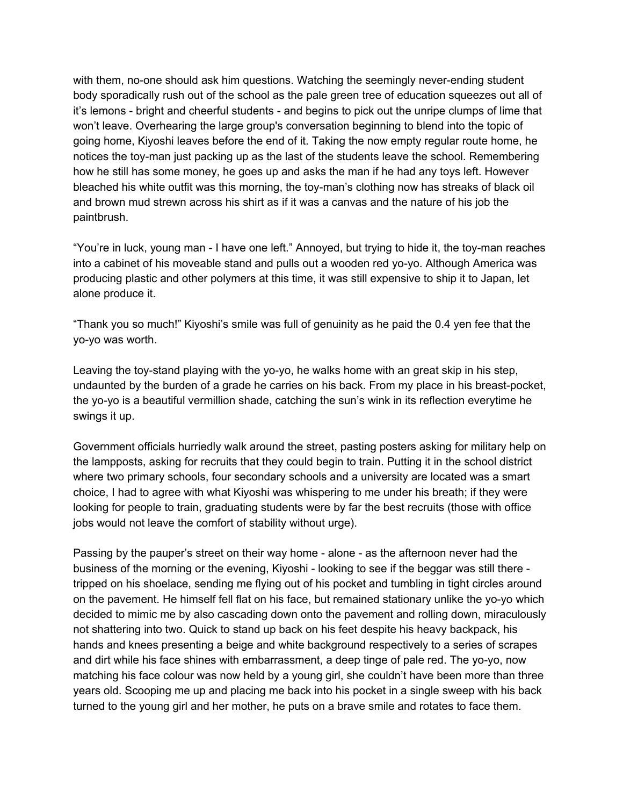with them, no-one should ask him questions. Watching the seemingly never-ending student body sporadically rush out of the school as the pale green tree of education squeezes out all of it's lemons - bright and cheerful students - and begins to pick out the unripe clumps of lime that won't leave. Overhearing the large group's conversation beginning to blend into the topic of going home, Kiyoshi leaves before the end of it. Taking the now empty regular route home, he notices the toy-man just packing up as the last of the students leave the school. Remembering how he still has some money, he goes up and asks the man if he had any toys left. However bleached his white outfit was this morning, the toy-man's clothing now has streaks of black oil and brown mud strewn across his shirt as if it was a canvas and the nature of his job the paintbrush.

"You're in luck, young man - I have one left." Annoyed, but trying to hide it, the toy-man reaches into a cabinet of his moveable stand and pulls out a wooden red yo-yo. Although America was producing plastic and other polymers at this time, it was still expensive to ship it to Japan, let alone produce it.

"Thank you so much!" Kiyoshi's smile was full of genuinity as he paid the 0.4 yen fee that the yo-yo was worth.

Leaving the toy-stand playing with the yo-yo, he walks home with an great skip in his step, undaunted by the burden of a grade he carries on his back. From my place in his breast-pocket, the yo-yo is a beautiful vermillion shade, catching the sun's wink in its reflection everytime he swings it up.

Government officials hurriedly walk around the street, pasting posters asking for military help on the lampposts, asking for recruits that they could begin to train. Putting it in the school district where two primary schools, four secondary schools and a university are located was a smart choice, I had to agree with what Kiyoshi was whispering to me under his breath; if they were looking for people to train, graduating students were by far the best recruits (those with office jobs would not leave the comfort of stability without urge).

Passing by the pauper's street on their way home - alone - as the afternoon never had the business of the morning or the evening, Kiyoshi - looking to see if the beggar was still there tripped on his shoelace, sending me flying out of his pocket and tumbling in tight circles around on the pavement. He himself fell flat on his face, but remained stationary unlike the yo-yo which decided to mimic me by also cascading down onto the pavement and rolling down, miraculously not shattering into two. Quick to stand up back on his feet despite his heavy backpack, his hands and knees presenting a beige and white background respectively to a series of scrapes and dirt while his face shines with embarrassment, a deep tinge of pale red. The yo-yo, now matching his face colour was now held by a young girl, she couldn't have been more than three years old. Scooping me up and placing me back into his pocket in a single sweep with his back turned to the young girl and her mother, he puts on a brave smile and rotates to face them.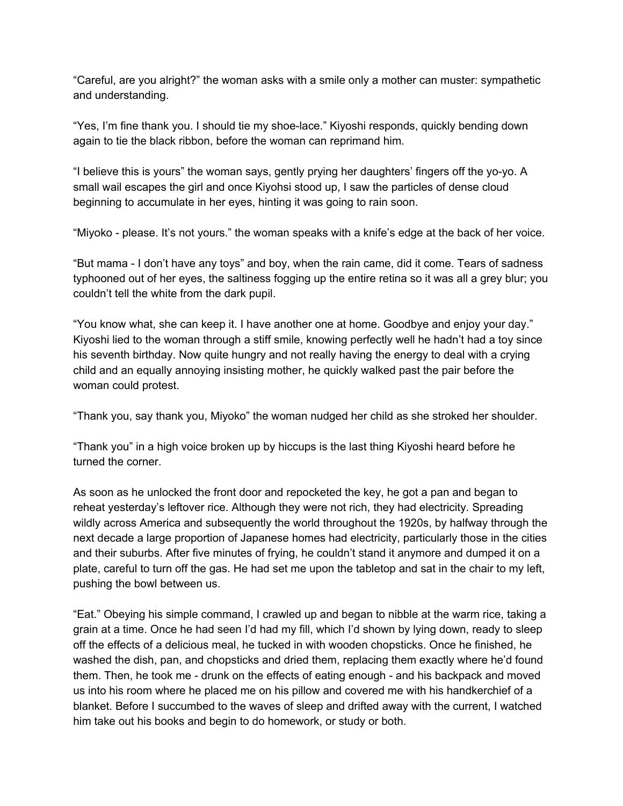"Careful, are you alright?" the woman asks with a smile only a mother can muster: sympathetic and understanding.

"Yes, I'm fine thank you. I should tie my shoe-lace." Kiyoshi responds, quickly bending down again to tie the black ribbon, before the woman can reprimand him.

"I believe this is yours" the woman says, gently prying her daughters' fingers off the yo-yo. A small wail escapes the girl and once Kiyohsi stood up, I saw the particles of dense cloud beginning to accumulate in her eyes, hinting it was going to rain soon.

"Miyoko - please. It's not yours." the woman speaks with a knife's edge at the back of her voice.

"But mama - I don't have any toys" and boy, when the rain came, did it come. Tears of sadness typhooned out of her eyes, the saltiness fogging up the entire retina so it was all a grey blur; you couldn't tell the white from the dark pupil.

"You know what, she can keep it. I have another one at home. Goodbye and enjoy your day." Kiyoshi lied to the woman through a stiff smile, knowing perfectly well he hadn't had a toy since his seventh birthday. Now quite hungry and not really having the energy to deal with a crying child and an equally annoying insisting mother, he quickly walked past the pair before the woman could protest.

"Thank you, say thank you, Miyoko" the woman nudged her child as she stroked her shoulder.

"Thank you" in a high voice broken up by hiccups is the last thing Kiyoshi heard before he turned the corner.

As soon as he unlocked the front door and repocketed the key, he got a pan and began to reheat yesterday's leftover rice. Although they were not rich, they had electricity. Spreading wildly across America and subsequently the world throughout the 1920s, by halfway through the next decade a large proportion of Japanese homes had electricity, particularly those in the cities and their suburbs. After five minutes of frying, he couldn't stand it anymore and dumped it on a plate, careful to turn off the gas. He had set me upon the tabletop and sat in the chair to my left, pushing the bowl between us.

"Eat." Obeying his simple command, I crawled up and began to nibble at the warm rice, taking a grain at a time. Once he had seen I'd had my fill, which I'd shown by lying down, ready to sleep off the effects of a delicious meal, he tucked in with wooden chopsticks. Once he finished, he washed the dish, pan, and chopsticks and dried them, replacing them exactly where he'd found them. Then, he took me - drunk on the effects of eating enough - and his backpack and moved us into his room where he placed me on his pillow and covered me with his handkerchief of a blanket. Before I succumbed to the waves of sleep and drifted away with the current, I watched him take out his books and begin to do homework, or study or both.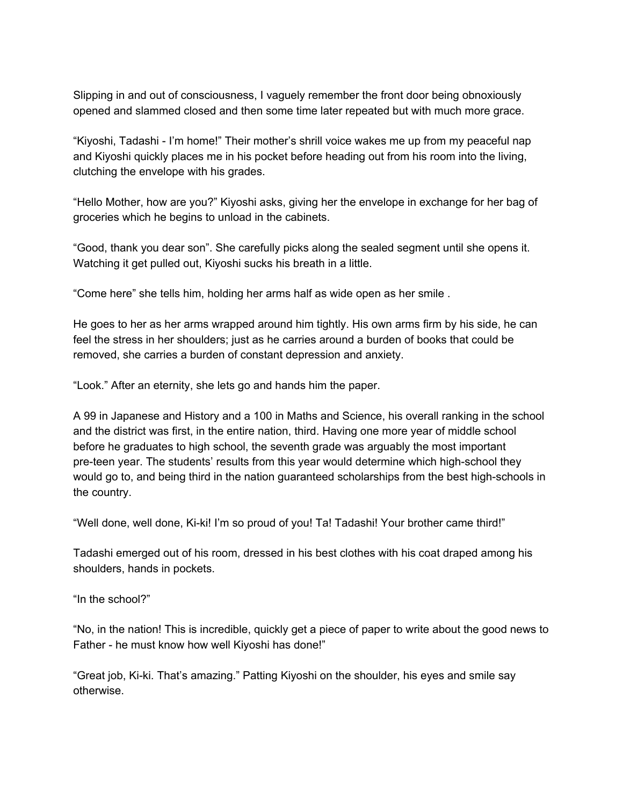Slipping in and out of consciousness, I vaguely remember the front door being obnoxiously opened and slammed closed and then some time later repeated but with much more grace.

"Kiyoshi, Tadashi - I'm home!" Their mother's shrill voice wakes me up from my peaceful nap and Kiyoshi quickly places me in his pocket before heading out from his room into the living, clutching the envelope with his grades.

"Hello Mother, how are you?" Kiyoshi asks, giving her the envelope in exchange for her bag of groceries which he begins to unload in the cabinets.

"Good, thank you dear son". She carefully picks along the sealed segment until she opens it. Watching it get pulled out, Kiyoshi sucks his breath in a little.

"Come here" she tells him, holding her arms half as wide open as her smile .

He goes to her as her arms wrapped around him tightly. His own arms firm by his side, he can feel the stress in her shoulders; just as he carries around a burden of books that could be removed, she carries a burden of constant depression and anxiety.

"Look." After an eternity, she lets go and hands him the paper.

A 99 in Japanese and History and a 100 in Maths and Science, his overall ranking in the school and the district was first, in the entire nation, third. Having one more year of middle school before he graduates to high school, the seventh grade was arguably the most important pre-teen year. The students' results from this year would determine which high-school they would go to, and being third in the nation guaranteed scholarships from the best high-schools in the country.

"Well done, well done, Ki-ki! I'm so proud of you! Ta! Tadashi! Your brother came third!"

Tadashi emerged out of his room, dressed in his best clothes with his coat draped among his shoulders, hands in pockets.

"In the school?"

"No, in the nation! This is incredible, quickly get a piece of paper to write about the good news to Father - he must know how well Kiyoshi has done!"

"Great job, Ki-ki. That's amazing." Patting Kiyoshi on the shoulder, his eyes and smile say otherwise.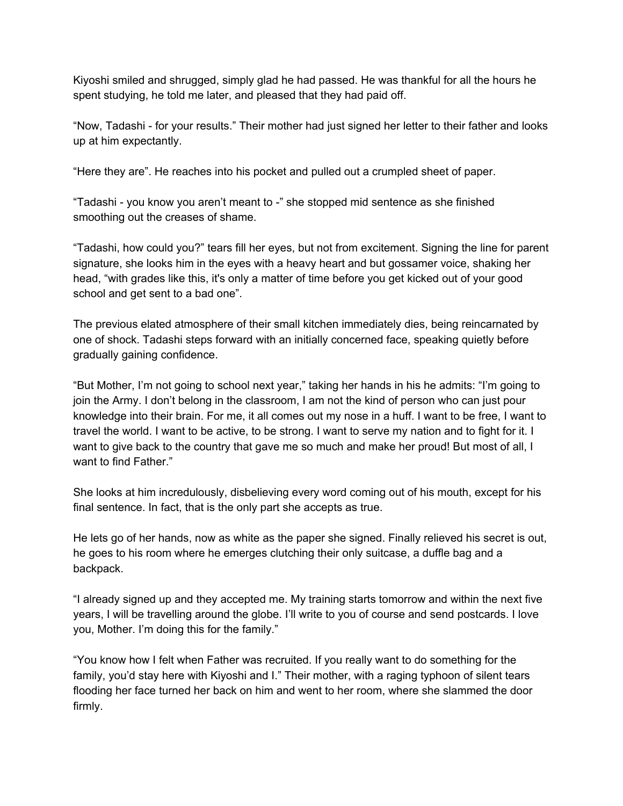Kiyoshi smiled and shrugged, simply glad he had passed. He was thankful for all the hours he spent studying, he told me later, and pleased that they had paid off.

"Now, Tadashi - for your results." Their mother had just signed her letter to their father and looks up at him expectantly.

"Here they are". He reaches into his pocket and pulled out a crumpled sheet of paper.

"Tadashi - you know you aren't meant to -" she stopped mid sentence as she finished smoothing out the creases of shame.

"Tadashi, how could you?" tears fill her eyes, but not from excitement. Signing the line for parent signature, she looks him in the eyes with a heavy heart and but gossamer voice, shaking her head, "with grades like this, it's only a matter of time before you get kicked out of your good school and get sent to a bad one".

The previous elated atmosphere of their small kitchen immediately dies, being reincarnated by one of shock. Tadashi steps forward with an initially concerned face, speaking quietly before gradually gaining confidence.

"But Mother, I'm not going to school next year," taking her hands in his he admits: "I'm going to join the Army. I don't belong in the classroom, I am not the kind of person who can just pour knowledge into their brain. For me, it all comes out my nose in a huff. I want to be free, I want to travel the world. I want to be active, to be strong. I want to serve my nation and to fight for it. I want to give back to the country that gave me so much and make her proud! But most of all, I want to find Father."

She looks at him incredulously, disbelieving every word coming out of his mouth, except for his final sentence. In fact, that is the only part she accepts as true.

He lets go of her hands, now as white as the paper she signed. Finally relieved his secret is out, he goes to his room where he emerges clutching their only suitcase, a duffle bag and a backpack.

"I already signed up and they accepted me. My training starts tomorrow and within the next five years, I will be travelling around the globe. I'll write to you of course and send postcards. I love you, Mother. I'm doing this for the family."

"You know how I felt when Father was recruited. If you really want to do something for the family, you'd stay here with Kiyoshi and I." Their mother, with a raging typhoon of silent tears flooding her face turned her back on him and went to her room, where she slammed the door firmly.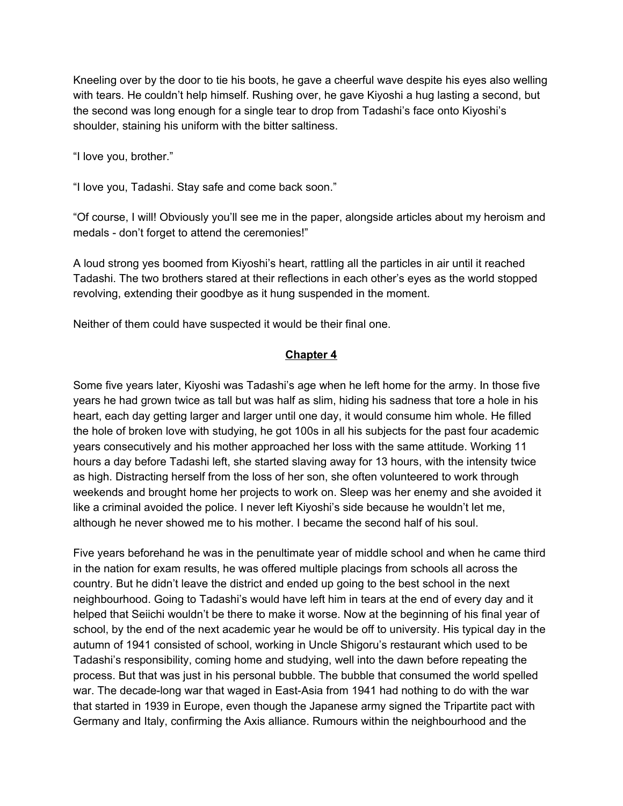Kneeling over by the door to tie his boots, he gave a cheerful wave despite his eyes also welling with tears. He couldn't help himself. Rushing over, he gave Kiyoshi a hug lasting a second, but the second was long enough for a single tear to drop from Tadashi's face onto Kiyoshi's shoulder, staining his uniform with the bitter saltiness.

"I love you, brother."

"I love you, Tadashi. Stay safe and come back soon."

"Of course, I will! Obviously you'll see me in the paper, alongside articles about my heroism and medals - don't forget to attend the ceremonies!"

A loud strong yes boomed from Kiyoshi's heart, rattling all the particles in air until it reached Tadashi. The two brothers stared at their reflections in each other's eyes as the world stopped revolving, extending their goodbye as it hung suspended in the moment.

Neither of them could have suspected it would be their final one.

#### **Chapter 4**

Some five years later, Kiyoshi was Tadashi's age when he left home for the army. In those five years he had grown twice as tall but was half as slim, hiding his sadness that tore a hole in his heart, each day getting larger and larger until one day, it would consume him whole. He filled the hole of broken love with studying, he got 100s in all his subjects for the past four academic years consecutively and his mother approached her loss with the same attitude. Working 11 hours a day before Tadashi left, she started slaving away for 13 hours, with the intensity twice as high. Distracting herself from the loss of her son, she often volunteered to work through weekends and brought home her projects to work on. Sleep was her enemy and she avoided it like a criminal avoided the police. I never left Kiyoshi's side because he wouldn't let me, although he never showed me to his mother. I became the second half of his soul.

Five years beforehand he was in the penultimate year of middle school and when he came third in the nation for exam results, he was offered multiple placings from schools all across the country. But he didn't leave the district and ended up going to the best school in the next neighbourhood. Going to Tadashi's would have left him in tears at the end of every day and it helped that Seiichi wouldn't be there to make it worse. Now at the beginning of his final year of school, by the end of the next academic year he would be off to university. His typical day in the autumn of 1941 consisted of school, working in Uncle Shigoru's restaurant which used to be Tadashi's responsibility, coming home and studying, well into the dawn before repeating the process. But that was just in his personal bubble. The bubble that consumed the world spelled war. The decade-long war that waged in East-Asia from 1941 had nothing to do with the war that started in 1939 in Europe, even though the Japanese army signed the Tripartite pact with Germany and Italy, confirming the Axis alliance. Rumours within the neighbourhood and the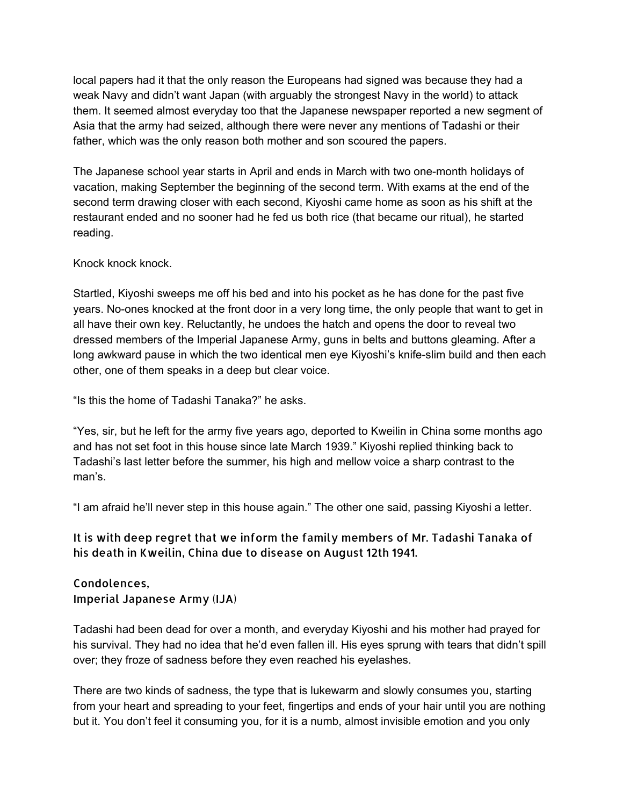local papers had it that the only reason the Europeans had signed was because they had a weak Navy and didn't want Japan (with arguably the strongest Navy in the world) to attack them. It seemed almost everyday too that the Japanese newspaper reported a new segment of Asia that the army had seized, although there were never any mentions of Tadashi or their father, which was the only reason both mother and son scoured the papers.

The Japanese school year starts in April and ends in March with two one-month holidays of vacation, making September the beginning of the second term. With exams at the end of the second term drawing closer with each second, Kiyoshi came home as soon as his shift at the restaurant ended and no sooner had he fed us both rice (that became our ritual), he started reading.

## Knock knock knock.

Startled, Kiyoshi sweeps me off his bed and into his pocket as he has done for the past five years. No-ones knocked at the front door in a very long time, the only people that want to get in all have their own key. Reluctantly, he undoes the hatch and opens the door to reveal two dressed members of the Imperial Japanese Army, guns in belts and buttons gleaming. After a long awkward pause in which the two identical men eye Kiyoshi's knife-slim build and then each other, one of them speaks in a deep but clear voice.

"Is this the home of Tadashi Tanaka?" he asks.

"Yes, sir, but he left for the army five years ago, deported to Kweilin in China some months ago and has not set foot in this house since late March 1939." Kiyoshi replied thinking back to Tadashi's last letter before the summer, his high and mellow voice a sharp contrast to the man's.

"I am afraid he'll never step in this house again." The other one said, passing Kiyoshi a letter.

## It is with deep regret that we inform the family members of Mr. Tadashi Tanaka of his death in Kweilin, China due to disease on August 12th 1941.

Condolences, Imperial Japanese Army (IJA)

Tadashi had been dead for over a month, and everyday Kiyoshi and his mother had prayed for his survival. They had no idea that he'd even fallen ill. His eyes sprung with tears that didn't spill over; they froze of sadness before they even reached his eyelashes.

There are two kinds of sadness, the type that is lukewarm and slowly consumes you, starting from your heart and spreading to your feet, fingertips and ends of your hair until you are nothing but it. You don't feel it consuming you, for it is a numb, almost invisible emotion and you only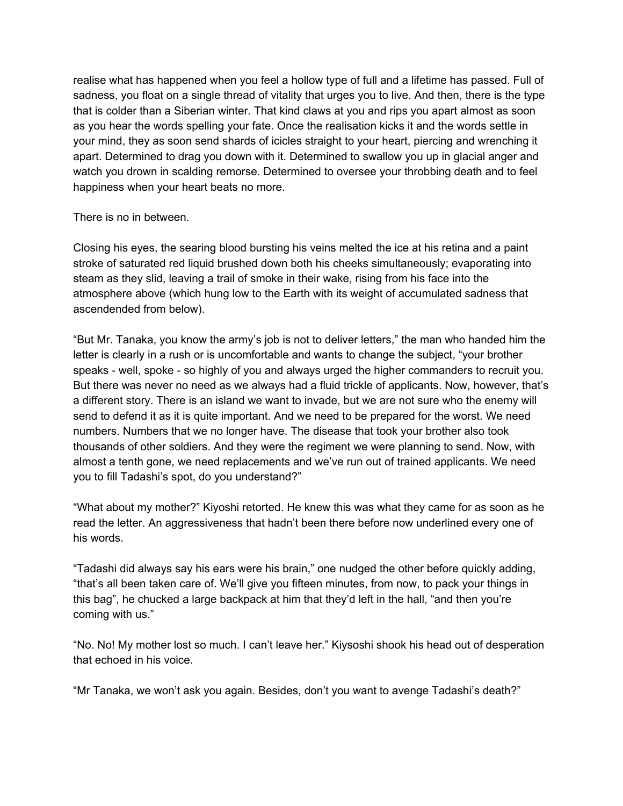realise what has happened when you feel a hollow type of full and a lifetime has passed. Full of sadness, you float on a single thread of vitality that urges you to live. And then, there is the type that is colder than a Siberian winter. That kind claws at you and rips you apart almost as soon as you hear the words spelling your fate. Once the realisation kicks it and the words settle in your mind, they as soon send shards of icicles straight to your heart, piercing and wrenching it apart. Determined to drag you down with it. Determined to swallow you up in glacial anger and watch you drown in scalding remorse. Determined to oversee your throbbing death and to feel happiness when your heart beats no more.

There is no in between.

Closing his eyes, the searing blood bursting his veins melted the ice at his retina and a paint stroke of saturated red liquid brushed down both his cheeks simultaneously; evaporating into steam as they slid, leaving a trail of smoke in their wake, rising from his face into the atmosphere above (which hung low to the Earth with its weight of accumulated sadness that ascendended from below).

"But Mr. Tanaka, you know the army's job is not to deliver letters," the man who handed him the letter is clearly in a rush or is uncomfortable and wants to change the subject, "your brother speaks - well, spoke - so highly of you and always urged the higher commanders to recruit you. But there was never no need as we always had a fluid trickle of applicants. Now, however, that's a different story. There is an island we want to invade, but we are not sure who the enemy will send to defend it as it is quite important. And we need to be prepared for the worst. We need numbers. Numbers that we no longer have. The disease that took your brother also took thousands of other soldiers. And they were the regiment we were planning to send. Now, with almost a tenth gone, we need replacements and we've run out of trained applicants. We need you to fill Tadashi's spot, do you understand?"

"What about my mother?" Kiyoshi retorted. He knew this was what they came for as soon as he read the letter. An aggressiveness that hadn't been there before now underlined every one of his words.

"Tadashi did always say his ears were his brain," one nudged the other before quickly adding, "that's all been taken care of. We'll give you fifteen minutes, from now, to pack your things in this bag", he chucked a large backpack at him that they'd left in the hall, "and then you're coming with us."

"No. No! My mother lost so much. I can't leave her." Kiysoshi shook his head out of desperation that echoed in his voice.

"Mr Tanaka, we won't ask you again. Besides, don't you want to avenge Tadashi's death?"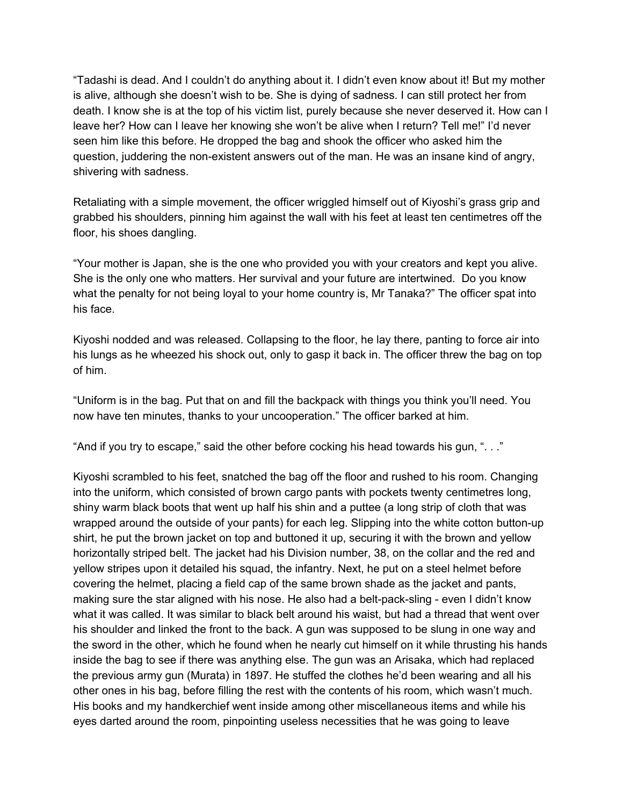"Tadashi is dead. And I couldn't do anything about it. I didn't even know about it! But my mother is alive, although she doesn't wish to be. She is dying of sadness. I can still protect her from death. I know she is at the top of his victim list, purely because she never deserved it. How can I leave her? How can I leave her knowing she won't be alive when I return? Tell me!" I'd never seen him like this before. He dropped the bag and shook the officer who asked him the question, juddering the non-existent answers out of the man. He was an insane kind of angry, shivering with sadness.

Retaliating with a simple movement, the officer wriggled himself out of Kiyoshi's grass grip and grabbed his shoulders, pinning him against the wall with his feet at least ten centimetres off the floor, his shoes dangling.

"Your mother is Japan, she is the one who provided you with your creators and kept you alive. She is the only one who matters. Her survival and your future are intertwined. Do you know what the penalty for not being loyal to your home country is, Mr Tanaka?" The officer spat into his face.

Kiyoshi nodded and was released. Collapsing to the floor, he lay there, panting to force air into his lungs as he wheezed his shock out, only to gasp it back in. The officer threw the bag on top of him.

"Uniform is in the bag. Put that on and fill the backpack with things you think you'll need. You now have ten minutes, thanks to your uncooperation." The officer barked at him.

"And if you try to escape," said the other before cocking his head towards his gun, ". . ."

Kiyoshi scrambled to his feet, snatched the bag off the floor and rushed to his room. Changing into the uniform, which consisted of brown cargo pants with pockets twenty centimetres long, shiny warm black boots that went up half his shin and a puttee (a long strip of cloth that was wrapped around the outside of your pants) for each leg. Slipping into the white cotton button-up shirt, he put the brown jacket on top and buttoned it up, securing it with the brown and yellow horizontally striped belt. The jacket had his Division number, 38, on the collar and the red and yellow stripes upon it detailed his squad, the infantry. Next, he put on a steel helmet before covering the helmet, placing a field cap of the same brown shade as the jacket and pants, making sure the star aligned with his nose. He also had a belt-pack-sling - even I didn't know what it was called. It was similar to black belt around his waist, but had a thread that went over his shoulder and linked the front to the back. A gun was supposed to be slung in one way and the sword in the other, which he found when he nearly cut himself on it while thrusting his hands inside the bag to see if there was anything else. The gun was an Arisaka, which had replaced the previous army gun (Murata) in 1897. He stuffed the clothes he'd been wearing and all his other ones in his bag, before filling the rest with the contents of his room, which wasn't much. His books and my handkerchief went inside among other miscellaneous items and while his eyes darted around the room, pinpointing useless necessities that he was going to leave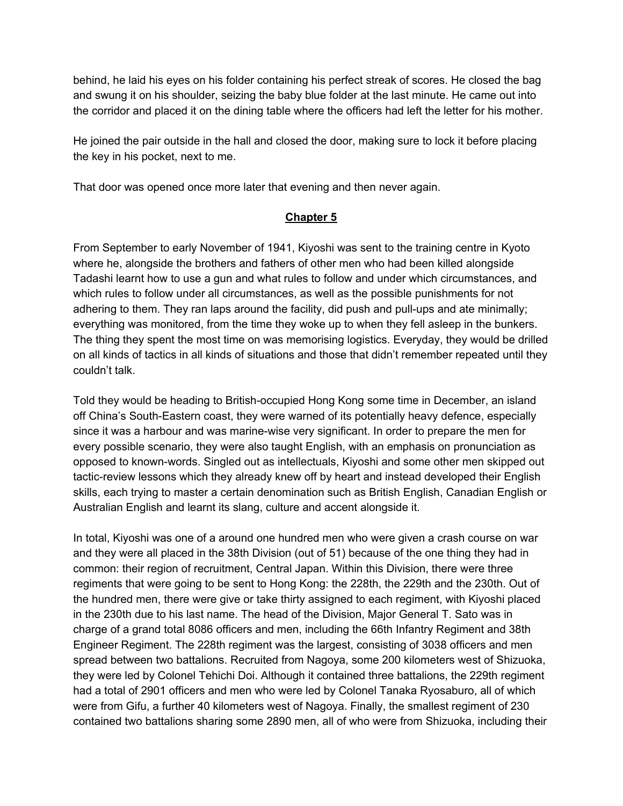behind, he laid his eyes on his folder containing his perfect streak of scores. He closed the bag and swung it on his shoulder, seizing the baby blue folder at the last minute. He came out into the corridor and placed it on the dining table where the officers had left the letter for his mother.

He joined the pair outside in the hall and closed the door, making sure to lock it before placing the key in his pocket, next to me.

That door was opened once more later that evening and then never again.

#### **Chapter 5**

From September to early November of 1941, Kiyoshi was sent to the training centre in Kyoto where he, alongside the brothers and fathers of other men who had been killed alongside Tadashi learnt how to use a gun and what rules to follow and under which circumstances, and which rules to follow under all circumstances, as well as the possible punishments for not adhering to them. They ran laps around the facility, did push and pull-ups and ate minimally; everything was monitored, from the time they woke up to when they fell asleep in the bunkers. The thing they spent the most time on was memorising logistics. Everyday, they would be drilled on all kinds of tactics in all kinds of situations and those that didn't remember repeated until they couldn't talk.

Told they would be heading to British-occupied Hong Kong some time in December, an island off China's South-Eastern coast, they were warned of its potentially heavy defence, especially since it was a harbour and was marine-wise very significant. In order to prepare the men for every possible scenario, they were also taught English, with an emphasis on pronunciation as opposed to known-words. Singled out as intellectuals, Kiyoshi and some other men skipped out tactic-review lessons which they already knew off by heart and instead developed their English skills, each trying to master a certain denomination such as British English, Canadian English or Australian English and learnt its slang, culture and accent alongside it.

In total, Kiyoshi was one of a around one hundred men who were given a crash course on war and they were all placed in the 38th Division (out of 51) because of the one thing they had in common: their region of recruitment, Central Japan. Within this Division, there were three regiments that were going to be sent to Hong Kong: the 228th, the 229th and the 230th. Out of the hundred men, there were give or take thirty assigned to each regiment, with Kiyoshi placed in the 230th due to his last name. The head of the Division, Major General T. Sato was in charge of a grand total 8086 officers and men, including the 66th Infantry Regiment and 38th Engineer Regiment. The 228th regiment was the largest, consisting of 3038 officers and men spread between two battalions. Recruited from Nagoya, some 200 kilometers west of Shizuoka, they were led by Colonel Tehichi Doi. Although it contained three battalions, the 229th regiment had a total of 2901 officers and men who were led by Colonel Tanaka Ryosaburo, all of which were from Gifu, a further 40 kilometers west of Nagoya. Finally, the smallest regiment of 230 contained two battalions sharing some 2890 men, all of who were from Shizuoka, including their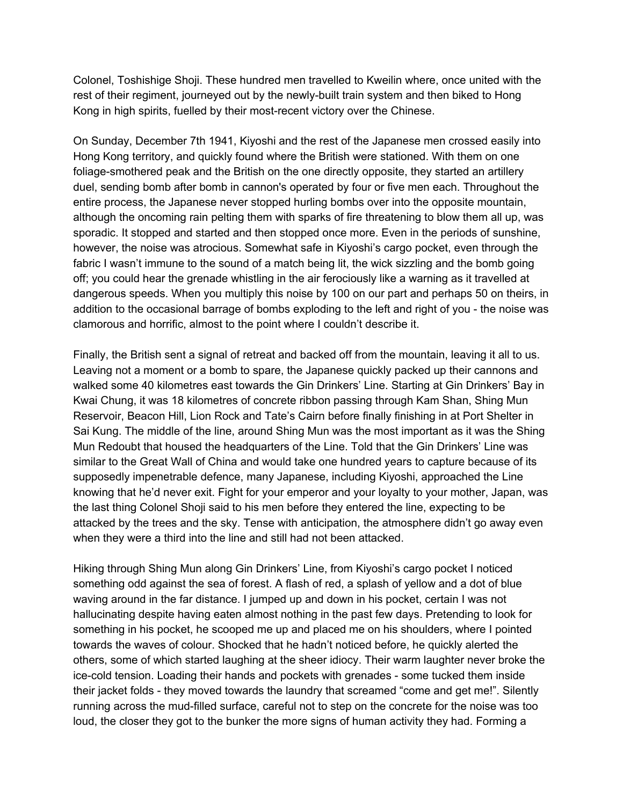Colonel, Toshishige Shoji. These hundred men travelled to Kweilin where, once united with the rest of their regiment, journeyed out by the newly-built train system and then biked to Hong Kong in high spirits, fuelled by their most-recent victory over the Chinese.

On Sunday, December 7th 1941, Kiyoshi and the rest of the Japanese men crossed easily into Hong Kong territory, and quickly found where the British were stationed. With them on one foliage-smothered peak and the British on the one directly opposite, they started an artillery duel, sending bomb after bomb in cannon's operated by four or five men each. Throughout the entire process, the Japanese never stopped hurling bombs over into the opposite mountain, although the oncoming rain pelting them with sparks of fire threatening to blow them all up, was sporadic. It stopped and started and then stopped once more. Even in the periods of sunshine, however, the noise was atrocious. Somewhat safe in Kiyoshi's cargo pocket, even through the fabric I wasn't immune to the sound of a match being lit, the wick sizzling and the bomb going off; you could hear the grenade whistling in the air ferociously like a warning as it travelled at dangerous speeds. When you multiply this noise by 100 on our part and perhaps 50 on theirs, in addition to the occasional barrage of bombs exploding to the left and right of you - the noise was clamorous and horrific, almost to the point where I couldn't describe it.

Finally, the British sent a signal of retreat and backed off from the mountain, leaving it all to us. Leaving not a moment or a bomb to spare, the Japanese quickly packed up their cannons and walked some 40 kilometres east towards the Gin Drinkers' Line. Starting at Gin Drinkers' Bay in Kwai Chung, it was 18 kilometres of concrete ribbon passing through Kam Shan, Shing Mun Reservoir, Beacon Hill, Lion Rock and Tate's Cairn before finally finishing in at Port Shelter in Sai Kung. The middle of the line, around Shing Mun was the most important as it was the Shing Mun Redoubt that housed the headquarters of the Line. Told that the Gin Drinkers' Line was similar to the Great Wall of China and would take one hundred years to capture because of its supposedly impenetrable defence, many Japanese, including Kiyoshi, approached the Line knowing that he'd never exit. Fight for your emperor and your loyalty to your mother, Japan, was the last thing Colonel Shoji said to his men before they entered the line, expecting to be attacked by the trees and the sky. Tense with anticipation, the atmosphere didn't go away even when they were a third into the line and still had not been attacked.

Hiking through Shing Mun along Gin Drinkers' Line, from Kiyoshi's cargo pocket I noticed something odd against the sea of forest. A flash of red, a splash of yellow and a dot of blue waving around in the far distance. I jumped up and down in his pocket, certain I was not hallucinating despite having eaten almost nothing in the past few days. Pretending to look for something in his pocket, he scooped me up and placed me on his shoulders, where I pointed towards the waves of colour. Shocked that he hadn't noticed before, he quickly alerted the others, some of which started laughing at the sheer idiocy. Their warm laughter never broke the ice-cold tension. Loading their hands and pockets with grenades - some tucked them inside their jacket folds - they moved towards the laundry that screamed "come and get me!". Silently running across the mud-filled surface, careful not to step on the concrete for the noise was too loud, the closer they got to the bunker the more signs of human activity they had. Forming a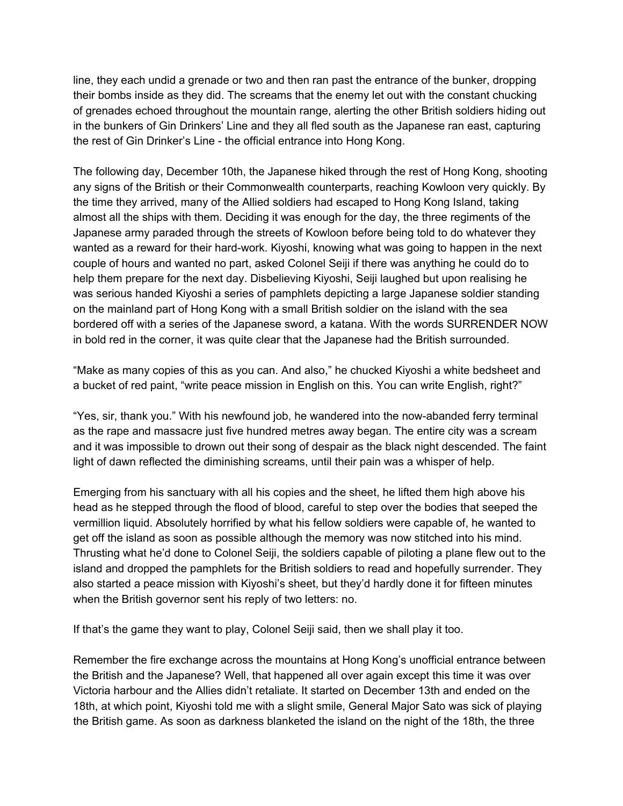line, they each undid a grenade or two and then ran past the entrance of the bunker, dropping their bombs inside as they did. The screams that the enemy let out with the constant chucking of grenades echoed throughout the mountain range, alerting the other British soldiers hiding out in the bunkers of Gin Drinkers' Line and they all fled south as the Japanese ran east, capturing the rest of Gin Drinker's Line - the official entrance into Hong Kong.

The following day, December 10th, the Japanese hiked through the rest of Hong Kong, shooting any signs of the British or their Commonwealth counterparts, reaching Kowloon very quickly. By the time they arrived, many of the Allied soldiers had escaped to Hong Kong Island, taking almost all the ships with them. Deciding it was enough for the day, the three regiments of the Japanese army paraded through the streets of Kowloon before being told to do whatever they wanted as a reward for their hard-work. Kiyoshi, knowing what was going to happen in the next couple of hours and wanted no part, asked Colonel Seiji if there was anything he could do to help them prepare for the next day. Disbelieving Kiyoshi, Seiji laughed but upon realising he was serious handed Kiyoshi a series of pamphlets depicting a large Japanese soldier standing on the mainland part of Hong Kong with a small British soldier on the island with the sea bordered off with a series of the Japanese sword, a katana. With the words SURRENDER NOW in bold red in the corner, it was quite clear that the Japanese had the British surrounded.

"Make as many copies of this as you can. And also," he chucked Kiyoshi a white bedsheet and a bucket of red paint, "write peace mission in English on this. You can write English, right?"

"Yes, sir, thank you." With his newfound job, he wandered into the now-abanded ferry terminal as the rape and massacre just five hundred metres away began. The entire city was a scream and it was impossible to drown out their song of despair as the black night descended. The faint light of dawn reflected the diminishing screams, until their pain was a whisper of help.

Emerging from his sanctuary with all his copies and the sheet, he lifted them high above his head as he stepped through the flood of blood, careful to step over the bodies that seeped the vermillion liquid. Absolutely horrified by what his fellow soldiers were capable of, he wanted to get off the island as soon as possible although the memory was now stitched into his mind. Thrusting what he'd done to Colonel Seiji, the soldiers capable of piloting a plane flew out to the island and dropped the pamphlets for the British soldiers to read and hopefully surrender. They also started a peace mission with Kiyoshi's sheet, but they'd hardly done it for fifteen minutes when the British governor sent his reply of two letters: no.

If that's the game they want to play, Colonel Seiji said, then we shall play it too.

Remember the fire exchange across the mountains at Hong Kong's unofficial entrance between the British and the Japanese? Well, that happened all over again except this time it was over Victoria harbour and the Allies didn't retaliate. It started on December 13th and ended on the 18th, at which point, Kiyoshi told me with a slight smile, General Major Sato was sick of playing the British game. As soon as darkness blanketed the island on the night of the 18th, the three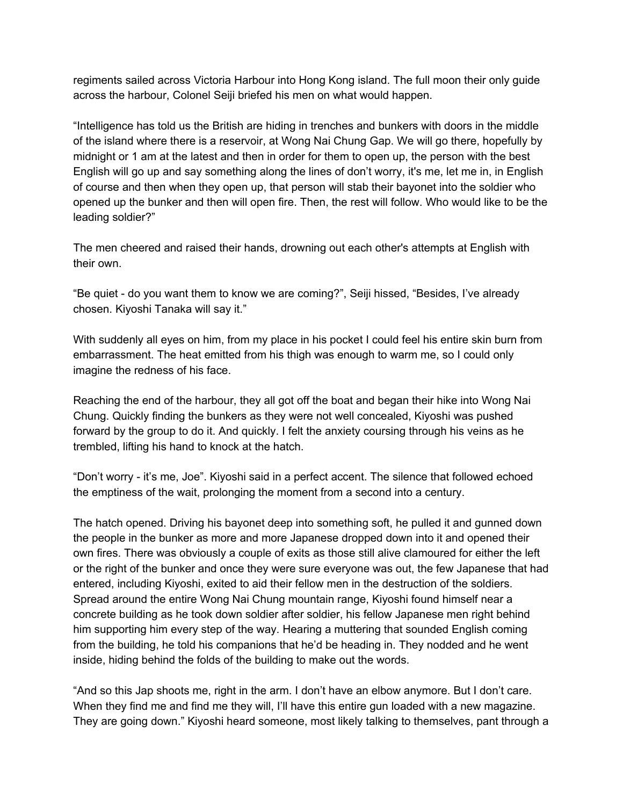regiments sailed across Victoria Harbour into Hong Kong island. The full moon their only guide across the harbour, Colonel Seiji briefed his men on what would happen.

"Intelligence has told us the British are hiding in trenches and bunkers with doors in the middle of the island where there is a reservoir, at Wong Nai Chung Gap. We will go there, hopefully by midnight or 1 am at the latest and then in order for them to open up, the person with the best English will go up and say something along the lines of don't worry, it's me, let me in, in English of course and then when they open up, that person will stab their bayonet into the soldier who opened up the bunker and then will open fire. Then, the rest will follow. Who would like to be the leading soldier?"

The men cheered and raised their hands, drowning out each other's attempts at English with their own.

"Be quiet - do you want them to know we are coming?", Seiji hissed, "Besides, I've already chosen. Kiyoshi Tanaka will say it."

With suddenly all eyes on him, from my place in his pocket I could feel his entire skin burn from embarrassment. The heat emitted from his thigh was enough to warm me, so I could only imagine the redness of his face.

Reaching the end of the harbour, they all got off the boat and began their hike into Wong Nai Chung. Quickly finding the bunkers as they were not well concealed, Kiyoshi was pushed forward by the group to do it. And quickly. I felt the anxiety coursing through his veins as he trembled, lifting his hand to knock at the hatch.

"Don't worry - it's me, Joe". Kiyoshi said in a perfect accent. The silence that followed echoed the emptiness of the wait, prolonging the moment from a second into a century.

The hatch opened. Driving his bayonet deep into something soft, he pulled it and gunned down the people in the bunker as more and more Japanese dropped down into it and opened their own fires. There was obviously a couple of exits as those still alive clamoured for either the left or the right of the bunker and once they were sure everyone was out, the few Japanese that had entered, including Kiyoshi, exited to aid their fellow men in the destruction of the soldiers. Spread around the entire Wong Nai Chung mountain range, Kiyoshi found himself near a concrete building as he took down soldier after soldier, his fellow Japanese men right behind him supporting him every step of the way. Hearing a muttering that sounded English coming from the building, he told his companions that he'd be heading in. They nodded and he went inside, hiding behind the folds of the building to make out the words.

"And so this Jap shoots me, right in the arm. I don't have an elbow anymore. But I don't care. When they find me and find me they will, I'll have this entire gun loaded with a new magazine. They are going down." Kiyoshi heard someone, most likely talking to themselves, pant through a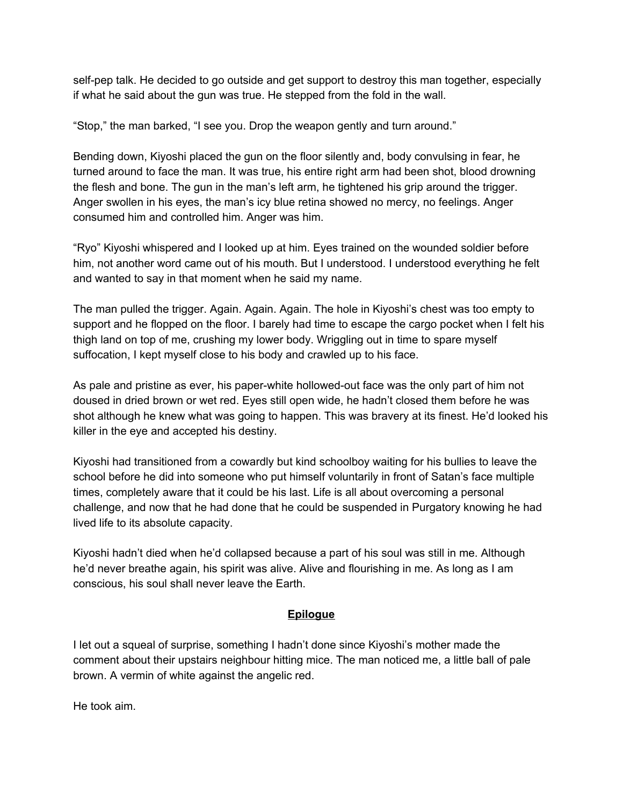self-pep talk. He decided to go outside and get support to destroy this man together, especially if what he said about the gun was true. He stepped from the fold in the wall.

"Stop," the man barked, "I see you. Drop the weapon gently and turn around."

Bending down, Kiyoshi placed the gun on the floor silently and, body convulsing in fear, he turned around to face the man. It was true, his entire right arm had been shot, blood drowning the flesh and bone. The gun in the man's left arm, he tightened his grip around the trigger. Anger swollen in his eyes, the man's icy blue retina showed no mercy, no feelings. Anger consumed him and controlled him. Anger was him.

"Ryo" Kiyoshi whispered and I looked up at him. Eyes trained on the wounded soldier before him, not another word came out of his mouth. But I understood. I understood everything he felt and wanted to say in that moment when he said my name.

The man pulled the trigger. Again. Again. Again. The hole in Kiyoshi's chest was too empty to support and he flopped on the floor. I barely had time to escape the cargo pocket when I felt his thigh land on top of me, crushing my lower body. Wriggling out in time to spare myself suffocation, I kept myself close to his body and crawled up to his face.

As pale and pristine as ever, his paper-white hollowed-out face was the only part of him not doused in dried brown or wet red. Eyes still open wide, he hadn't closed them before he was shot although he knew what was going to happen. This was bravery at its finest. He'd looked his killer in the eye and accepted his destiny.

Kiyoshi had transitioned from a cowardly but kind schoolboy waiting for his bullies to leave the school before he did into someone who put himself voluntarily in front of Satan's face multiple times, completely aware that it could be his last. Life is all about overcoming a personal challenge, and now that he had done that he could be suspended in Purgatory knowing he had lived life to its absolute capacity.

Kiyoshi hadn't died when he'd collapsed because a part of his soul was still in me. Although he'd never breathe again, his spirit was alive. Alive and flourishing in me. As long as I am conscious, his soul shall never leave the Earth.

## **Epilogue**

I let out a squeal of surprise, something I hadn't done since Kiyoshi's mother made the comment about their upstairs neighbour hitting mice. The man noticed me, a little ball of pale brown. A vermin of white against the angelic red.

He took aim.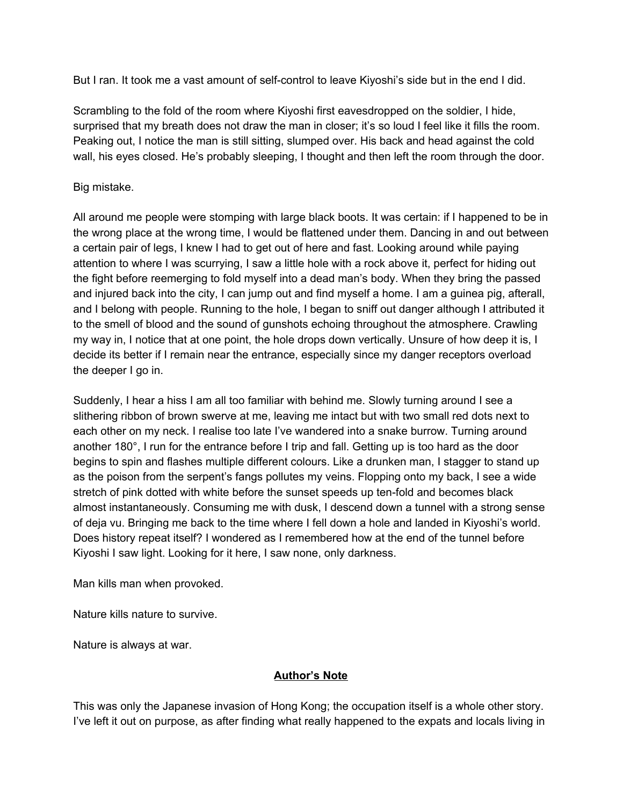But I ran. It took me a vast amount of self-control to leave Kiyoshi's side but in the end I did.

Scrambling to the fold of the room where Kiyoshi first eavesdropped on the soldier, I hide, surprised that my breath does not draw the man in closer; it's so loud I feel like it fills the room. Peaking out, I notice the man is still sitting, slumped over. His back and head against the cold wall, his eyes closed. He's probably sleeping, I thought and then left the room through the door.

#### Big mistake.

All around me people were stomping with large black boots. It was certain: if I happened to be in the wrong place at the wrong time, I would be flattened under them. Dancing in and out between a certain pair of legs, I knew I had to get out of here and fast. Looking around while paying attention to where I was scurrying, I saw a little hole with a rock above it, perfect for hiding out the fight before reemerging to fold myself into a dead man's body. When they bring the passed and injured back into the city, I can jump out and find myself a home. I am a guinea pig, afterall, and I belong with people. Running to the hole, I began to sniff out danger although I attributed it to the smell of blood and the sound of gunshots echoing throughout the atmosphere. Crawling my way in, I notice that at one point, the hole drops down vertically. Unsure of how deep it is, I decide its better if I remain near the entrance, especially since my danger receptors overload the deeper I go in.

Suddenly, I hear a hiss I am all too familiar with behind me. Slowly turning around I see a slithering ribbon of brown swerve at me, leaving me intact but with two small red dots next to each other on my neck. I realise too late I've wandered into a snake burrow. Turning around another 180°, I run for the entrance before I trip and fall. Getting up is too hard as the door begins to spin and flashes multiple different colours. Like a drunken man, I stagger to stand up as the poison from the serpent's fangs pollutes my veins. Flopping onto my back, I see a wide stretch of pink dotted with white before the sunset speeds up ten-fold and becomes black almost instantaneously. Consuming me with dusk, I descend down a tunnel with a strong sense of deja vu. Bringing me back to the time where I fell down a hole and landed in Kiyoshi's world. Does history repeat itself? I wondered as I remembered how at the end of the tunnel before Kiyoshi I saw light. Looking for it here, I saw none, only darkness.

Man kills man when provoked.

Nature kills nature to survive.

Nature is always at war.

## **Author's Note**

This was only the Japanese invasion of Hong Kong; the occupation itself is a whole other story. I've left it out on purpose, as after finding what really happened to the expats and locals living in